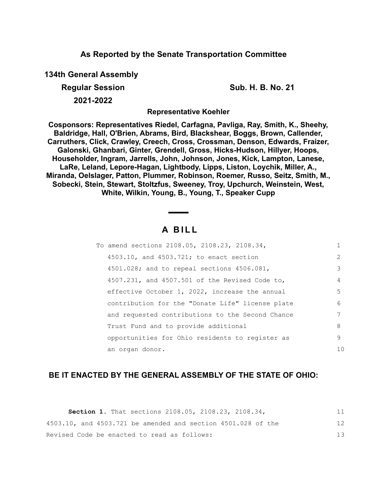## **As Reported by the Senate Transportation Committee**

**134th General Assembly**

**Regular Session Sub. H. B. No. 21 2021-2022**

**Representative Koehler**

**Cosponsors: Representatives Riedel, Carfagna, Pavliga, Ray, Smith, K., Sheehy, Baldridge, Hall, O'Brien, Abrams, Bird, Blackshear, Boggs, Brown, Callender, Carruthers, Click, Crawley, Creech, Cross, Crossman, Denson, Edwards, Fraizer, Galonski, Ghanbari, Ginter, Grendell, Gross, Hicks-Hudson, Hillyer, Hoops, Householder, Ingram, Jarrells, John, Johnson, Jones, Kick, Lampton, Lanese, LaRe, Leland, Lepore-Hagan, Lightbody, Lipps, Liston, Loychik, Miller, A., Miranda, Oelslager, Patton, Plummer, Robinson, Roemer, Russo, Seitz, Smith, M., Sobecki, Stein, Stewart, Stoltzfus, Sweeney, Troy, Upchurch, Weinstein, West, White, Wilkin, Young, B., Young, T., Speaker Cupp**

# **A B I L L**

| To amend sections 2108.05, 2108.23, 2108.34,        |               |
|-----------------------------------------------------|---------------|
| 4503.10, and 4503.721; to enact section             | $\mathcal{L}$ |
| $4501.028$ ; and to repeal sections $4506.081$ ,    | 3             |
| $4507.231$ , and $4507.501$ of the Revised Code to, | 4             |
| effective October 1, 2022, increase the annual      | 5             |
| contribution for the "Donate Life" license plate    | 6             |
| and requested contributions to the Second Chance    | 7             |
| Trust Fund and to provide additional                | 8             |
| opportunities for Ohio residents to register as     | 9             |
| an organ donor.                                     | 10            |

### **BE IT ENACTED BY THE GENERAL ASSEMBLY OF THE STATE OF OHIO:**

| <b>Section 1.</b> That sections 2108.05, 2108.23, 2108.34,          | 11 |
|---------------------------------------------------------------------|----|
| $4503.10$ , and $4503.721$ be amended and section $4501.028$ of the | 12 |
| Revised Code be enacted to read as follows:                         | 13 |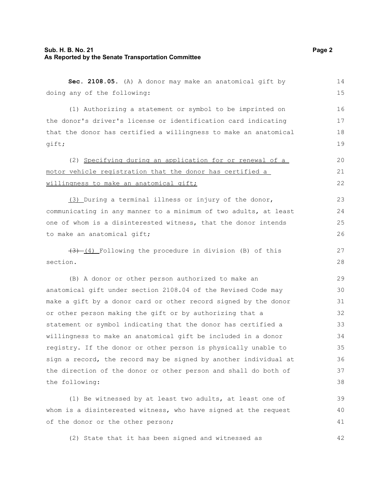### **Sub. H. B. No. 21 Page 2 As Reported by the Senate Transportation Committee**

| Sec. 2108.05. (A) A donor may make an anatomical gift by         | 14 |
|------------------------------------------------------------------|----|
| doing any of the following:                                      | 15 |
| (1) Authorizing a statement or symbol to be imprinted on         | 16 |
| the donor's driver's license or identification card indicating   | 17 |
| that the donor has certified a willingness to make an anatomical | 18 |
| gift;                                                            | 19 |
| (2) Specifying during an application for or renewal of a         | 20 |
| motor vehicle registration that the donor has certified a        | 21 |
| willingness to make an anatomical gift;                          | 22 |
| (3) During a terminal illness or injury of the donor,            | 23 |
| communicating in any manner to a minimum of two adults, at least | 24 |
| one of whom is a disinterested witness, that the donor intends   | 25 |
| to make an anatomical gift;                                      | 26 |
| $(3)$ (4) Following the procedure in division (B) of this        | 27 |
| section.                                                         | 28 |
| (B) A donor or other person authorized to make an                | 29 |
| anatomical gift under section 2108.04 of the Revised Code may    | 30 |
| make a gift by a donor card or other record signed by the donor  | 31 |
| or other person making the gift or by authorizing that a         | 32 |
| statement or symbol indicating that the donor has certified a    | 33 |
| willingness to make an anatomical gift be included in a donor    | 34 |
| registry. If the donor or other person is physically unable to   | 35 |
| sign a record, the record may be signed by another individual at | 36 |
| the direction of the donor or other person and shall do both of  | 37 |
| the following:                                                   | 38 |
| (1) Be witnessed by at least two adults, at least one of         | 39 |
| whom is a disinterested witness, who have signed at the request  | 40 |

(2) State that it has been signed and witnessed as

of the donor or the other person;

41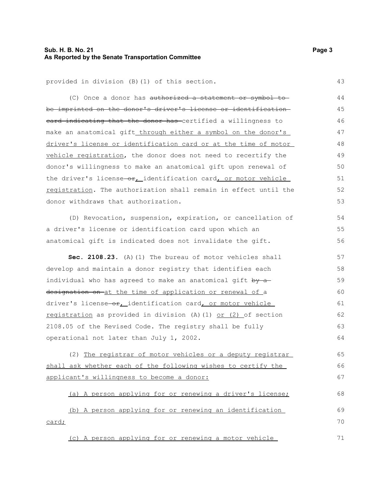### **Sub. H. B. No. 21 Page 3 As Reported by the Senate Transportation Committee**

provided in division (B)(1) of this section.

(C) Once a donor has authorized a statement or symbol to be imprinted on the donor's driver's license or identification eard indicating that the donor has certified a willingness to make an anatomical gift through either a symbol on the donor's driver's license or identification card or at the time of motor vehicle registration, the donor does not need to recertify the donor's willingness to make an anatomical gift upon renewal of the driver's license-or, identification card, or motor vehicle registration. The authorization shall remain in effect until the donor withdraws that authorization. 44 45 46 47 48 49 50 51 52 53

(D) Revocation, suspension, expiration, or cancellation of a driver's license or identification card upon which an anatomical gift is indicated does not invalidate the gift.

**Sec. 2108.23.** (A)(1) The bureau of motor vehicles shall develop and maintain a donor registry that identifies each individual who has agreed to make an anatomical gift  $by$ designation on-at the time of application or renewal of a driver's license-or, identification card, or motor vehicle registration as provided in division (A)(1) or  $(2)$  of section 2108.05 of the Revised Code. The registry shall be fully operational not later than July 1, 2002. 57 58 59 60 61 62 63 64

(2) The registrar of motor vehicles or a deputy registrar shall ask whether each of the following wishes to certify the applicant's willingness to become a donor: 65 66 67

(a) A person applying for or renewing a driver's license; 68

(b) A person applying for or renewing an identification card; 69 70

(c) A person applying for or renewing a motor vehicle

43

54 55 56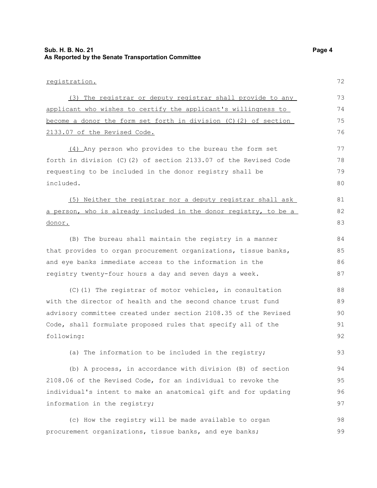### **Sub. H. B. No. 21 Page 4 As Reported by the Senate Transportation Committee**

registration. (3) The registrar or deputy registrar shall provide to any applicant who wishes to certify the applicant's willingness to become a donor the form set forth in division (C)(2) of section 2133.07 of the Revised Code. (4) Any person who provides to the bureau the form set forth in division (C)(2) of section 2133.07 of the Revised Code requesting to be included in the donor registry shall be included. (5) Neither the registrar nor a deputy registrar shall ask a person, who is already included in the donor registry, to be a donor. (B) The bureau shall maintain the registry in a manner that provides to organ procurement organizations, tissue banks, and eye banks immediate access to the information in the registry twenty-four hours a day and seven days a week. (C)(1) The registrar of motor vehicles, in consultation with the director of health and the second chance trust fund advisory committee created under section 2108.35 of the Revised Code, shall formulate proposed rules that specify all of the following: (a) The information to be included in the registry; (b) A process, in accordance with division (B) of section 2108.06 of the Revised Code, for an individual to revoke the individual's intent to make an anatomical gift and for updating information in the registry; (c) How the registry will be made available to organ procurement organizations, tissue banks, and eye banks; 72 73 74 75 76 77 78 79 80 81 82 83 84 85 86 87 88 89 90 91 92 93 94 95 96 97 98 99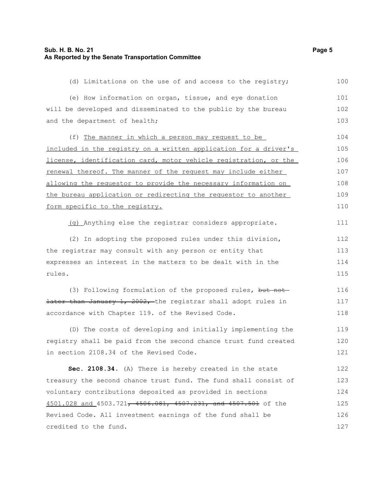### **Sub. H. B. No. 21 Page 5 As Reported by the Senate Transportation Committee**

(d) Limitations on the use of and access to the registry; (e) How information on organ, tissue, and eye donation will be developed and disseminated to the public by the bureau and the department of health; (f) The manner in which a person may request to be included in the registry on a written application for a driver's license, identification card, motor vehicle registration, or the renewal thereof. The manner of the request may include either allowing the requestor to provide the necessary information on the bureau application or redirecting the requestor to another form specific to the registry. (g) Anything else the registrar considers appropriate. (2) In adopting the proposed rules under this division, the registrar may consult with any person or entity that expresses an interest in the matters to be dealt with in the rules. (3) Following formulation of the proposed rules, but not 100 101 102 103 104 105 106 107 108 109 110 111 112 113 114 115 116

later than January 1, 2002, the registrar shall adopt rules in accordance with Chapter 119. of the Revised Code. 117 118

(D) The costs of developing and initially implementing the registry shall be paid from the second chance trust fund created in section 2108.34 of the Revised Code. 119 120 121

**Sec. 2108.34.** (A) There is hereby created in the state treasury the second chance trust fund. The fund shall consist of voluntary contributions deposited as provided in sections 4501.028 and 4503.721, 4506.081, 4507.231, and 4507.501 of the Revised Code. All investment earnings of the fund shall be credited to the fund. 122 123 124 125 126 127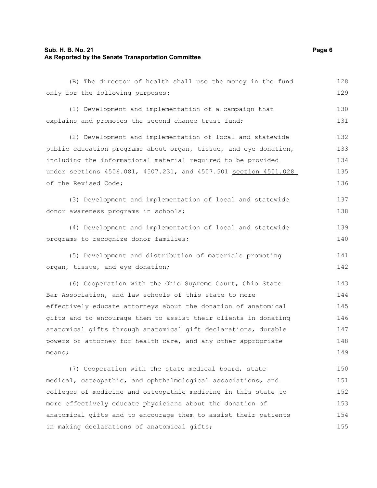### **Sub. H. B. No. 21 Page 6 As Reported by the Senate Transportation Committee**

(B) The director of health shall use the money in the fund only for the following purposes: (1) Development and implementation of a campaign that explains and promotes the second chance trust fund; (2) Development and implementation of local and statewide public education programs about organ, tissue, and eye donation, including the informational material required to be provided under sections 4506.081, 4507.231, and 4507.501 section 4501.028 of the Revised Code; (3) Development and implementation of local and statewide donor awareness programs in schools; (4) Development and implementation of local and statewide programs to recognize donor families; (5) Development and distribution of materials promoting organ, tissue, and eye donation; (6) Cooperation with the Ohio Supreme Court, Ohio State Bar Association, and law schools of this state to more effectively educate attorneys about the donation of anatomical gifts and to encourage them to assist their clients in donating anatomical gifts through anatomical gift declarations, durable powers of attorney for health care, and any other appropriate means; (7) Cooperation with the state medical board, state medical, osteopathic, and ophthalmological associations, and colleges of medicine and osteopathic medicine in this state to more effectively educate physicians about the donation of anatomical gifts and to encourage them to assist their patients in making declarations of anatomical gifts; 128 129 130 131 132 133 134 135 136 137 138 139 140 141 142 143 144 145 146 147 148 149 150 151 152 153 154 155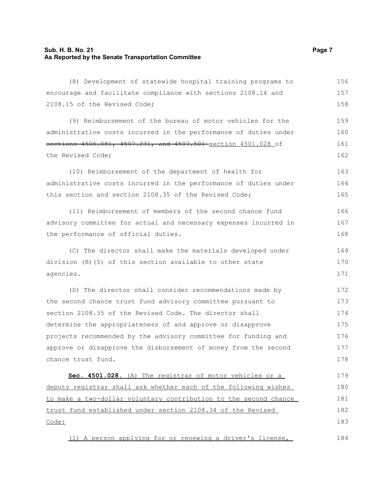### **Sub. H. B. No. 21 Page 7 Page 7 Page 7 Page 7 Page 7 Page 7 Page 7 Page 7 Page 7 Page 7 Page 7 As Reported by the Senate Transportation Committee**

(8) Development of statewide hospital training programs to encourage and facilitate compliance with sections 2108.14 and 2108.15 of the Revised Code; (9) Reimbursement of the bureau of motor vehicles for the administrative costs incurred in the performance of duties under sections 4506.081, 4507.231, and 4507.501 section 4501.028 of the Revised Code; (10) Reimbursement of the department of health for administrative costs incurred in the performance of duties under this section and section 2108.35 of the Revised Code; (11) Reimbursement of members of the second chance fund advisory committee for actual and necessary expenses incurred in the performance of official duties. (C) The director shall make the materials developed under division (B)(5) of this section available to other state agencies. (D) The director shall consider recommendations made by the second chance trust fund advisory committee pursuant to section 2108.35 of the Revised Code. The director shall determine the appropriateness of and approve or disapprove projects recommended by the advisory committee for funding and approve or disapprove the disbursement of money from the second chance trust fund. **Sec. 4501.028.** (A) The registrar of motor vehicles or a deputy registrar shall ask whether each of the following wishes to make a two-dollar voluntary contribution to the second chance trust fund established under section 2108.34 of the Revised Code: (1) A person applying for or renewing a driver's license, 156 157 158 159 160 161 162 163 164 165 166 167 168 169 170 171 172 173 174 175 176 177 178 179 180 181 182 183 184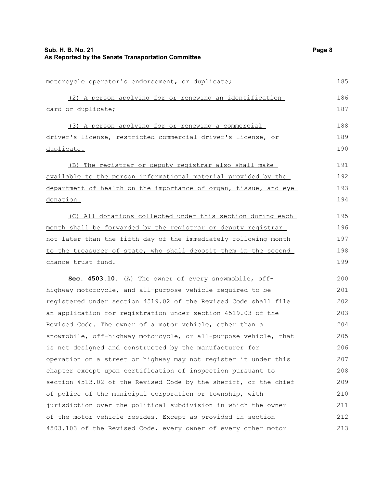motorcycle operator's endorsement, or duplicate; (2) A person applying for or renewing an identification card or duplicate; (3) A person applying for or renewing a commercial driver's license, restricted commercial driver's license, or duplicate. (B) The registrar or deputy registrar also shall make available to the person informational material provided by the department of health on the importance of organ, tissue, and eye donation. (C) All donations collected under this section during each month shall be forwarded by the registrar or deputy registrar not later than the fifth day of the immediately following month to the treasurer of state, who shall deposit them in the second chance trust fund. **Sec. 4503.10.** (A) The owner of every snowmobile, off-185 186 187 188 189 190 191 192 193 194 195 196 197 198 199 200

highway motorcycle, and all-purpose vehicle required to be registered under section 4519.02 of the Revised Code shall file an application for registration under section 4519.03 of the Revised Code. The owner of a motor vehicle, other than a snowmobile, off-highway motorcycle, or all-purpose vehicle, that is not designed and constructed by the manufacturer for operation on a street or highway may not register it under this chapter except upon certification of inspection pursuant to section 4513.02 of the Revised Code by the sheriff, or the chief of police of the municipal corporation or township, with jurisdiction over the political subdivision in which the owner of the motor vehicle resides. Except as provided in section 4503.103 of the Revised Code, every owner of every other motor 201 202 203 204 205 206 207 208 209 210 211 212 213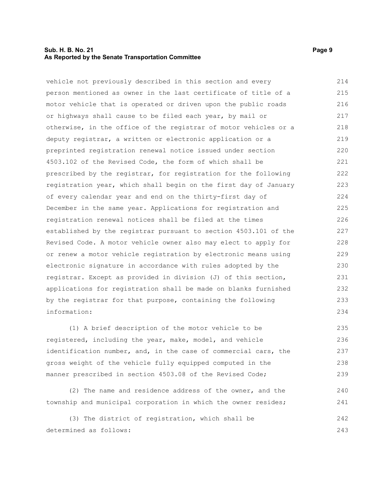### **Sub. H. B. No. 21 Page 9 As Reported by the Senate Transportation Committee**

vehicle not previously described in this section and every person mentioned as owner in the last certificate of title of a motor vehicle that is operated or driven upon the public roads or highways shall cause to be filed each year, by mail or otherwise, in the office of the registrar of motor vehicles or a deputy registrar, a written or electronic application or a preprinted registration renewal notice issued under section 4503.102 of the Revised Code, the form of which shall be prescribed by the registrar, for registration for the following registration year, which shall begin on the first day of January of every calendar year and end on the thirty-first day of December in the same year. Applications for registration and registration renewal notices shall be filed at the times established by the registrar pursuant to section 4503.101 of the Revised Code. A motor vehicle owner also may elect to apply for or renew a motor vehicle registration by electronic means using electronic signature in accordance with rules adopted by the registrar. Except as provided in division (J) of this section, applications for registration shall be made on blanks furnished by the registrar for that purpose, containing the following information: 214 215 216 217 218 219 220 221 222 223 224 225 226 227 228 229 230 231 232 233 234

(1) A brief description of the motor vehicle to be registered, including the year, make, model, and vehicle identification number, and, in the case of commercial cars, the gross weight of the vehicle fully equipped computed in the manner prescribed in section 4503.08 of the Revised Code; 235 236 237 238 239

(2) The name and residence address of the owner, and the township and municipal corporation in which the owner resides;

(3) The district of registration, which shall be determined as follows: 242 243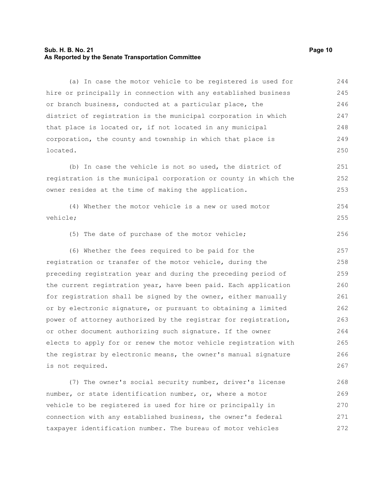### **Sub. H. B. No. 21 Page 10 As Reported by the Senate Transportation Committee**

(a) In case the motor vehicle to be registered is used for hire or principally in connection with any established business or branch business, conducted at a particular place, the district of registration is the municipal corporation in which that place is located or, if not located in any municipal corporation, the county and township in which that place is located. 244 245 246 247 248 249 250

(b) In case the vehicle is not so used, the district of registration is the municipal corporation or county in which the owner resides at the time of making the application. 251 252 253

|          | (4) Whether the motor vehicle is a new or used motor |  |  |  |  |  | 254 |
|----------|------------------------------------------------------|--|--|--|--|--|-----|
| vehicle; |                                                      |  |  |  |  |  | 255 |

(5) The date of purchase of the motor vehicle;

(6) Whether the fees required to be paid for the registration or transfer of the motor vehicle, during the preceding registration year and during the preceding period of the current registration year, have been paid. Each application for registration shall be signed by the owner, either manually or by electronic signature, or pursuant to obtaining a limited power of attorney authorized by the registrar for registration, or other document authorizing such signature. If the owner elects to apply for or renew the motor vehicle registration with the registrar by electronic means, the owner's manual signature is not required. 257 258 259 260 261 262 263 264 265 266 267

(7) The owner's social security number, driver's license number, or state identification number, or, where a motor vehicle to be registered is used for hire or principally in connection with any established business, the owner's federal taxpayer identification number. The bureau of motor vehicles 268 269 270 271 272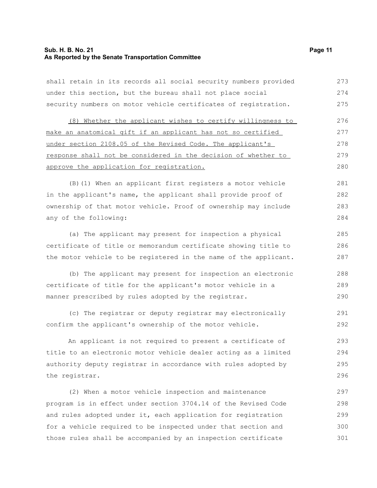### **Sub. H. B. No. 21** Page 11 **As Reported by the Senate Transportation Committee**

| shall retain in its records all social security numbers provided | 273 |
|------------------------------------------------------------------|-----|
| under this section, but the bureau shall not place social        | 274 |
| security numbers on motor vehicle certificates of registration.  | 275 |
| (8) Whether the applicant wishes to certify willingness to       | 276 |
| make an anatomical gift if an applicant has not so certified     | 277 |
| under section 2108.05 of the Revised Code. The applicant's       | 278 |
| response shall not be considered in the decision of whether to   | 279 |
| approve the application for registration.                        | 280 |
| (B) (1) When an applicant first registers a motor vehicle        | 281 |
| in the applicant's name, the applicant shall provide proof of    | 282 |
| ownership of that motor vehicle. Proof of ownership may include  | 283 |
| any of the following:                                            | 284 |
| (a) The applicant may present for inspection a physical          | 285 |
| certificate of title or memorandum certificate showing title to  | 286 |
| the motor vehicle to be registered in the name of the applicant. | 287 |
| (b) The applicant may present for inspection an electronic       | 288 |
| certificate of title for the applicant's motor vehicle in a      | 289 |
| manner prescribed by rules adopted by the registrar.             | 290 |
| (c) The registrar or deputy registrar may electronically         | 291 |
| confirm the applicant's ownership of the motor vehicle.          | 292 |
| An applicant is not required to present a certificate of         | 293 |
| title to an electronic motor vehicle dealer acting as a limited  | 294 |
| authority deputy registrar in accordance with rules adopted by   | 295 |
| the registrar.                                                   | 296 |
| (2) When a motor vehicle inspection and maintenance              | 297 |
| program is in effect under section 3704.14 of the Revised Code   | 298 |
| and rules adopted under it, each application for registration    | 299 |
| for a vehicle required to be inspected under that section and    | 300 |
| those rules shall be accompanied by an inspection certificate    | 301 |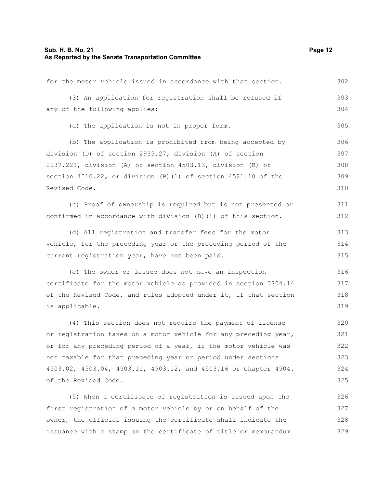### **Sub. H. B. No. 21 Page 12 As Reported by the Senate Transportation Committee**

for the motor vehicle issued in accordance with that section.

| (3) An application for registration shall be refused if             | 303 |
|---------------------------------------------------------------------|-----|
| any of the following applies:                                       | 304 |
| (a) The application is not in proper form.                          | 305 |
| (b) The application is prohibited from being accepted by            | 306 |
| division (D) of section 2935.27, division (A) of section            | 307 |
| 2937.221, division (A) of section 4503.13, division (B) of          | 308 |
| section $4510.22$ , or division (B) (1) of section $4521.10$ of the | 309 |
| Revised Code.                                                       | 310 |
| (c) Proof of ownership is required but is not presented or          | 311 |
| confirmed in accordance with division (B) (1) of this section.      | 312 |
| (d) All registration and transfer fees for the motor                | 313 |
| vehicle, for the preceding year or the preceding period of the      | 314 |
| current registration year, have not been paid.                      | 315 |
| (e) The owner or lessee does not have an inspection                 | 316 |
| certificate for the motor vehicle as provided in section 3704.14    | 317 |
| of the Revised Code, and rules adopted under it, if that section    | 318 |
| is applicable.                                                      | 319 |
| (4) This section does not require the payment of license            | 320 |
| or registration taxes on a motor vehicle for any preceding year,    | 321 |
| or for any preceding period of a year, if the motor vehicle was     | 322 |
| not taxable for that preceding year or period under sections        | 323 |
| 4503.02, 4503.04, 4503.11, 4503.12, and 4503.16 or Chapter 4504.    | 324 |
| of the Revised Code.                                                | 325 |
| (5) When a certificate of registration is issued upon the           | 326 |
| first registration of a motor vehicle by or on behalf of the        | 327 |
| owner, the official issuing the certificate shall indicate the      | 328 |
| issuance with a stamp on the certificate of title or memorandum     | 329 |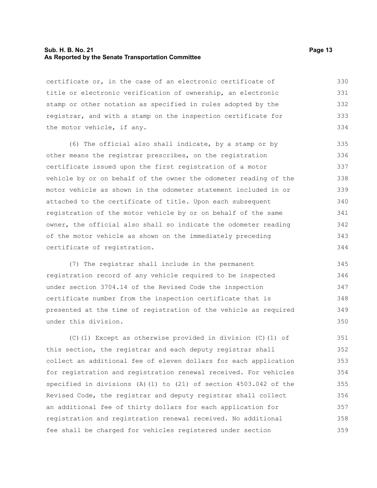#### **Sub. H. B. No. 21 Page 13 As Reported by the Senate Transportation Committee**

certificate or, in the case of an electronic certificate of title or electronic verification of ownership, an electronic stamp or other notation as specified in rules adopted by the registrar, and with a stamp on the inspection certificate for the motor vehicle, if any. 330 331 332 333 334

(6) The official also shall indicate, by a stamp or by other means the registrar prescribes, on the registration certificate issued upon the first registration of a motor vehicle by or on behalf of the owner the odometer reading of the motor vehicle as shown in the odometer statement included in or attached to the certificate of title. Upon each subsequent registration of the motor vehicle by or on behalf of the same owner, the official also shall so indicate the odometer reading of the motor vehicle as shown on the immediately preceding certificate of registration. 335 336 337 338 339 340 341 342 343 344

(7) The registrar shall include in the permanent registration record of any vehicle required to be inspected under section 3704.14 of the Revised Code the inspection certificate number from the inspection certificate that is presented at the time of registration of the vehicle as required under this division.

(C)(1) Except as otherwise provided in division (C)(1) of this section, the registrar and each deputy registrar shall collect an additional fee of eleven dollars for each application for registration and registration renewal received. For vehicles specified in divisions (A)(1) to (21) of section 4503.042 of the Revised Code, the registrar and deputy registrar shall collect an additional fee of thirty dollars for each application for registration and registration renewal received. No additional fee shall be charged for vehicles registered under section 351 352 353 354 355 356 357 358 359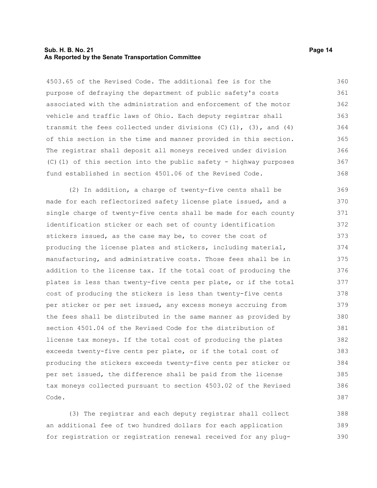### **Sub. H. B. No. 21 Page 14 As Reported by the Senate Transportation Committee**

4503.65 of the Revised Code. The additional fee is for the purpose of defraying the department of public safety's costs associated with the administration and enforcement of the motor vehicle and traffic laws of Ohio. Each deputy registrar shall transmit the fees collected under divisions  $(C)$   $(1)$ ,  $(3)$ , and  $(4)$ of this section in the time and manner provided in this section. The registrar shall deposit all moneys received under division (C)(1) of this section into the public safety - highway purposes fund established in section 4501.06 of the Revised Code. 360 361 362 363 364 365 366 367 368

(2) In addition, a charge of twenty-five cents shall be made for each reflectorized safety license plate issued, and a single charge of twenty-five cents shall be made for each county identification sticker or each set of county identification stickers issued, as the case may be, to cover the cost of producing the license plates and stickers, including material, manufacturing, and administrative costs. Those fees shall be in addition to the license tax. If the total cost of producing the plates is less than twenty-five cents per plate, or if the total cost of producing the stickers is less than twenty-five cents per sticker or per set issued, any excess moneys accruing from the fees shall be distributed in the same manner as provided by section 4501.04 of the Revised Code for the distribution of license tax moneys. If the total cost of producing the plates exceeds twenty-five cents per plate, or if the total cost of producing the stickers exceeds twenty-five cents per sticker or per set issued, the difference shall be paid from the license tax moneys collected pursuant to section 4503.02 of the Revised Code. 369 370 371 372 373 374 375 376 377 378 379 380 381 382 383 384 385 386 387

(3) The registrar and each deputy registrar shall collect an additional fee of two hundred dollars for each application for registration or registration renewal received for any plug-388 389 390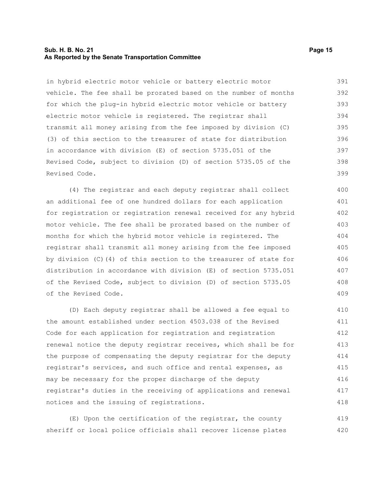### **Sub. H. B. No. 21 Page 15 As Reported by the Senate Transportation Committee**

in hybrid electric motor vehicle or battery electric motor vehicle. The fee shall be prorated based on the number of months for which the plug-in hybrid electric motor vehicle or battery electric motor vehicle is registered. The registrar shall transmit all money arising from the fee imposed by division (C) (3) of this section to the treasurer of state for distribution in accordance with division (E) of section 5735.051 of the Revised Code, subject to division (D) of section 5735.05 of the Revised Code. 391 392 393 394 395 396 397 398 399

(4) The registrar and each deputy registrar shall collect an additional fee of one hundred dollars for each application for registration or registration renewal received for any hybrid motor vehicle. The fee shall be prorated based on the number of months for which the hybrid motor vehicle is registered. The registrar shall transmit all money arising from the fee imposed by division (C)(4) of this section to the treasurer of state for distribution in accordance with division (E) of section 5735.051 of the Revised Code, subject to division (D) of section 5735.05 of the Revised Code. 400 401 402 403 404 405 406 407 408 409

(D) Each deputy registrar shall be allowed a fee equal to the amount established under section 4503.038 of the Revised Code for each application for registration and registration renewal notice the deputy registrar receives, which shall be for the purpose of compensating the deputy registrar for the deputy registrar's services, and such office and rental expenses, as may be necessary for the proper discharge of the deputy registrar's duties in the receiving of applications and renewal notices and the issuing of registrations. 410 411 412 413 414 415 416 417 418

(E) Upon the certification of the registrar, the county sheriff or local police officials shall recover license plates 419 420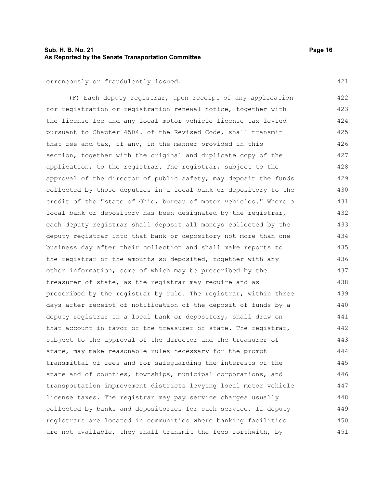### **Sub. H. B. No. 21 Page 16 As Reported by the Senate Transportation Committee**

(F) Each deputy registrar, upon receipt of any application for registration or registration renewal notice, together with the license fee and any local motor vehicle license tax levied pursuant to Chapter 4504. of the Revised Code, shall transmit that fee and tax, if any, in the manner provided in this section, together with the original and duplicate copy of the application, to the registrar. The registrar, subject to the approval of the director of public safety, may deposit the funds collected by those deputies in a local bank or depository to the credit of the "state of Ohio, bureau of motor vehicles." Where a local bank or depository has been designated by the registrar, each deputy registrar shall deposit all moneys collected by the deputy registrar into that bank or depository not more than one business day after their collection and shall make reports to the registrar of the amounts so deposited, together with any other information, some of which may be prescribed by the treasurer of state, as the registrar may require and as prescribed by the registrar by rule. The registrar, within three days after receipt of notification of the deposit of funds by a deputy registrar in a local bank or depository, shall draw on that account in favor of the treasurer of state. The registrar, subject to the approval of the director and the treasurer of state, may make reasonable rules necessary for the prompt transmittal of fees and for safeguarding the interests of the state and of counties, townships, municipal corporations, and transportation improvement districts levying local motor vehicle license taxes. The registrar may pay service charges usually collected by banks and depositories for such service. If deputy registrars are located in communities where banking facilities are not available, they shall transmit the fees forthwith, by 422 423 424 425 426 427 428 429 430 431 432 433 434 435 436 437 438 439 440 441 442 443 444 445 446 447 448 449 450 451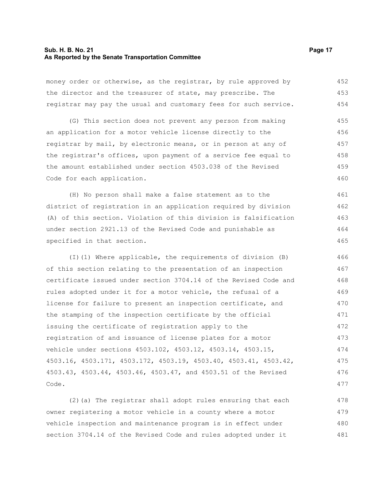#### **Sub. H. B. No. 21 Page 17 As Reported by the Senate Transportation Committee**

money order or otherwise, as the registrar, by rule approved by the director and the treasurer of state, may prescribe. The registrar may pay the usual and customary fees for such service. 452 453 454

(G) This section does not prevent any person from making an application for a motor vehicle license directly to the registrar by mail, by electronic means, or in person at any of the registrar's offices, upon payment of a service fee equal to the amount established under section 4503.038 of the Revised Code for each application. 455 456 457 458 459 460

(H) No person shall make a false statement as to the district of registration in an application required by division (A) of this section. Violation of this division is falsification under section 2921.13 of the Revised Code and punishable as specified in that section. 461 462 463 464 465

(I)(1) Where applicable, the requirements of division (B) of this section relating to the presentation of an inspection certificate issued under section 3704.14 of the Revised Code and rules adopted under it for a motor vehicle, the refusal of a license for failure to present an inspection certificate, and the stamping of the inspection certificate by the official issuing the certificate of registration apply to the registration of and issuance of license plates for a motor vehicle under sections 4503.102, 4503.12, 4503.14, 4503.15, 4503.16, 4503.171, 4503.172, 4503.19, 4503.40, 4503.41, 4503.42, 4503.43, 4503.44, 4503.46, 4503.47, and 4503.51 of the Revised Code. 466 467 468 469 470 471 472 473 474 475 476 477

(2)(a) The registrar shall adopt rules ensuring that each owner registering a motor vehicle in a county where a motor vehicle inspection and maintenance program is in effect under section 3704.14 of the Revised Code and rules adopted under it 478 479 480 481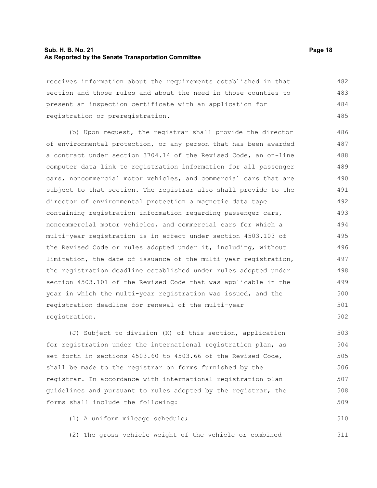### **Sub. H. B. No. 21 Page 18 As Reported by the Senate Transportation Committee**

receives information about the requirements established in that section and those rules and about the need in those counties to present an inspection certificate with an application for registration or preregistration. 482 483 484 485

(b) Upon request, the registrar shall provide the director of environmental protection, or any person that has been awarded a contract under section 3704.14 of the Revised Code, an on-line computer data link to registration information for all passenger cars, noncommercial motor vehicles, and commercial cars that are subject to that section. The registrar also shall provide to the director of environmental protection a magnetic data tape containing registration information regarding passenger cars, noncommercial motor vehicles, and commercial cars for which a multi-year registration is in effect under section 4503.103 of the Revised Code or rules adopted under it, including, without limitation, the date of issuance of the multi-year registration, the registration deadline established under rules adopted under section 4503.101 of the Revised Code that was applicable in the year in which the multi-year registration was issued, and the registration deadline for renewal of the multi-year registration. 486 487 488 489 490 491 492 493 494 495 496 497 498 499 500 501 502

(J) Subject to division (K) of this section, application for registration under the international registration plan, as set forth in sections 4503.60 to 4503.66 of the Revised Code, shall be made to the registrar on forms furnished by the registrar. In accordance with international registration plan guidelines and pursuant to rules adopted by the registrar, the forms shall include the following: 503 504 505 506 507 508 509

(1) A uniform mileage schedule;

(2) The gross vehicle weight of the vehicle or combined 511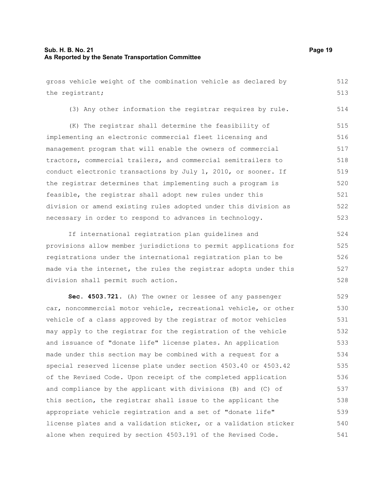gross vehicle weight of the combination vehicle as declared by the registrant; (3) Any other information the registrar requires by rule. (K) The registrar shall determine the feasibility of implementing an electronic commercial fleet licensing and management program that will enable the owners of commercial tractors, commercial trailers, and commercial semitrailers to conduct electronic transactions by July 1, 2010, or sooner. If the registrar determines that implementing such a program is feasible, the registrar shall adopt new rules under this division or amend existing rules adopted under this division as necessary in order to respond to advances in technology. 512 513 514 515 516 517 518 519 520 521 522 523

If international registration plan guidelines and provisions allow member jurisdictions to permit applications for registrations under the international registration plan to be made via the internet, the rules the registrar adopts under this division shall permit such action. 524 525 526 527 528

**Sec. 4503.721.** (A) The owner or lessee of any passenger car, noncommercial motor vehicle, recreational vehicle, or other vehicle of a class approved by the registrar of motor vehicles may apply to the registrar for the registration of the vehicle and issuance of "donate life" license plates. An application made under this section may be combined with a request for a special reserved license plate under section 4503.40 or 4503.42 of the Revised Code. Upon receipt of the completed application and compliance by the applicant with divisions (B) and (C) of this section, the registrar shall issue to the applicant the appropriate vehicle registration and a set of "donate life" license plates and a validation sticker, or a validation sticker alone when required by section 4503.191 of the Revised Code. 529 530 531 532 533 534 535 536 537 538 539 540 541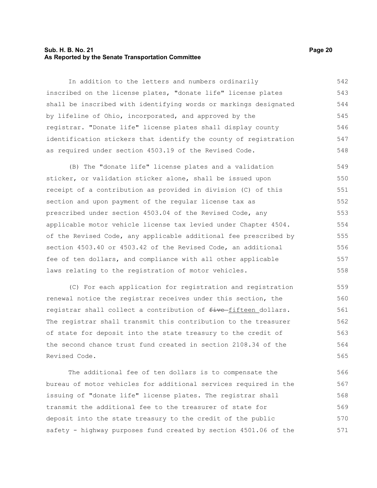### **Sub. H. B. No. 21 Page 20 As Reported by the Senate Transportation Committee**

In addition to the letters and numbers ordinarily inscribed on the license plates, "donate life" license plates shall be inscribed with identifying words or markings designated by lifeline of Ohio, incorporated, and approved by the registrar. "Donate life" license plates shall display county identification stickers that identify the county of registration as required under section 4503.19 of the Revised Code. 542 543 544 545 546 547 548

(B) The "donate life" license plates and a validation sticker, or validation sticker alone, shall be issued upon receipt of a contribution as provided in division (C) of this section and upon payment of the regular license tax as prescribed under section 4503.04 of the Revised Code, any applicable motor vehicle license tax levied under Chapter 4504. of the Revised Code, any applicable additional fee prescribed by section 4503.40 or 4503.42 of the Revised Code, an additional fee of ten dollars, and compliance with all other applicable laws relating to the registration of motor vehicles. 549 550 551 552 553 554 555 556 557 558

(C) For each application for registration and registration renewal notice the registrar receives under this section, the registrar shall collect a contribution of  $f$ ive-fifteen dollars. The registrar shall transmit this contribution to the treasurer of state for deposit into the state treasury to the credit of the second chance trust fund created in section 2108.34 of the Revised Code. 559 560 561 562 563 564 565

The additional fee of ten dollars is to compensate the bureau of motor vehicles for additional services required in the issuing of "donate life" license plates. The registrar shall transmit the additional fee to the treasurer of state for deposit into the state treasury to the credit of the public safety - highway purposes fund created by section 4501.06 of the 566 567 568 569 570 571